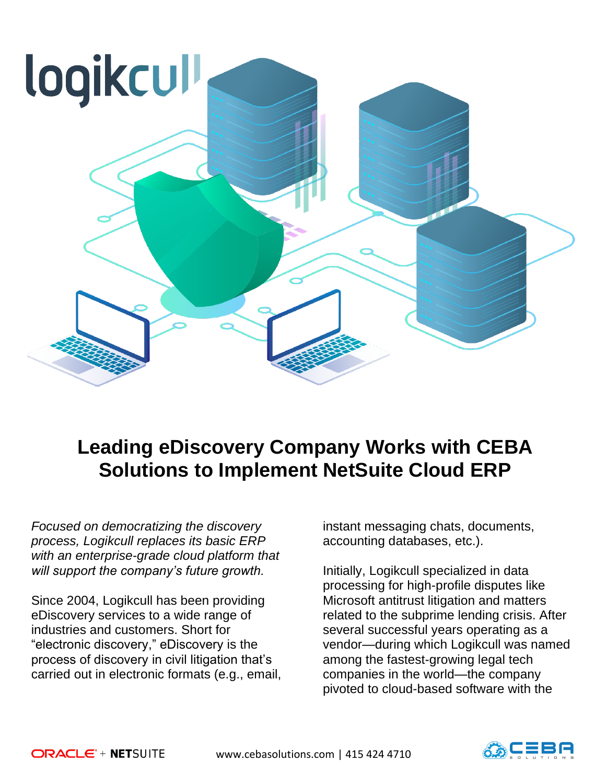

## **Leading eDiscovery Company Works with CEBA Solutions to Implement NetSuite Cloud ERP**

*Focused on democratizing the discovery process, Logikcull replaces its basic ERP with an enterprise-grade cloud platform that will support the company's future growth.* 

Since 2004, Logikcull has been providing eDiscovery services to a wide range of industries and customers. Short for "electronic discovery," eDiscovery is the process of discovery in civil litigation that's carried out in electronic formats (e.g., email, instant messaging chats, documents, accounting databases, etc.).

Initially, Logikcull specialized in data processing for high-profile disputes like Microsoft antitrust litigation and matters related to the subprime lending crisis. After several successful years operating as a vendor—during which Logikcull was named among the fastest-growing legal tech companies in the world—the company pivoted to cloud-based software with the

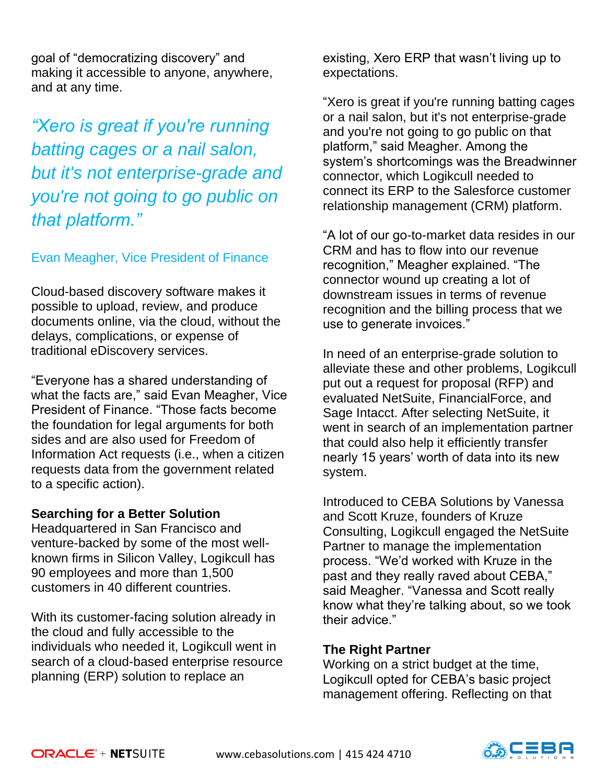goal of "democratizing discovery" and making it accessible to anyone, anywhere, and at any time.

*"Xero is great if you're running batting cages or a nail salon, but it's not enterprise-grade and you're not going to go public on that platform."*

## Evan Meagher, Vice President of Finance

Cloud-based discovery software makes it possible to upload, review, and produce documents online, via the cloud, without the delays, complications, or expense of traditional eDiscovery services.

"Everyone has a shared understanding of what the facts are," said Evan Meagher, Vice President of Finance. "Those facts become the foundation for legal arguments for both sides and are also used for Freedom of Information Act requests (i.e., when a citizen requests data from the government related to a specific action).

## **Searching for a Better Solution**

Headquartered in San Francisco and venture-backed by some of the most wellknown firms in Silicon Valley, Logikcull has 90 employees and more than 1,500 customers in 40 different countries.

With its customer-facing solution already in the cloud and fully accessible to the individuals who needed it, Logikcull went in search of a cloud-based enterprise resource planning (ERP) solution to replace an

existing, Xero ERP that wasn't living up to expectations.

"Xero is great if you're running batting cages or a nail salon, but it's not enterprise-grade and you're not going to go public on that platform," said Meagher. Among the system's shortcomings was the Breadwinner connector, which Logikcull needed to connect its ERP to the Salesforce customer relationship management (CRM) platform.

"A lot of our go-to-market data resides in our CRM and has to flow into our revenue recognition," Meagher explained. "The connector wound up creating a lot of downstream issues in terms of revenue recognition and the billing process that we use to generate invoices."

In need of an enterprise-grade solution to alleviate these and other problems, Logikcull put out a request for proposal (RFP) and evaluated NetSuite, FinancialForce, and Sage Intacct. After selecting NetSuite, it went in search of an implementation partner that could also help it efficiently transfer nearly 15 years' worth of data into its new system.

Introduced to CEBA Solutions by Vanessa and Scott Kruze, founders of Kruze Consulting, Logikcull engaged the NetSuite Partner to manage the implementation process. "We'd worked with Kruze in the past and they really raved about CEBA," said Meagher. "Vanessa and Scott really know what they're talking about, so we took their advice."

## **The Right Partner**

Working on a strict budget at the time, Logikcull opted for CEBA's basic project management offering. Reflecting on that